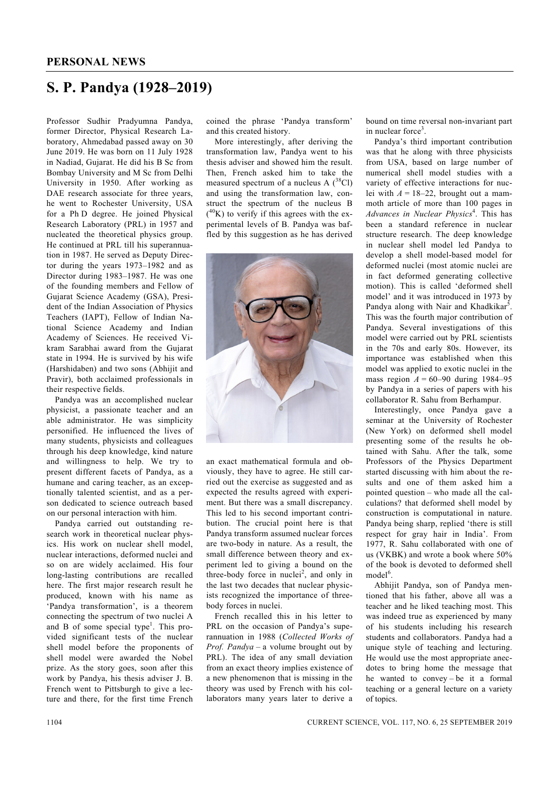## **S. P. Pandya (1928–2019)**

Professor Sudhir Pradyumna Pandya, former Director, Physical Research Laboratory, Ahmedabad passed away on 30 June 2019. He was born on 11 July 1928 in Nadiad, Gujarat. He did his B Sc from Bombay University and M Sc from Delhi University in 1950. After working as DAE research associate for three years, he went to Rochester University, USA for a Ph D degree. He joined Physical Research Laboratory (PRL) in 1957 and nucleated the theoretical physics group. He continued at PRL till his superannuation in 1987. He served as Deputy Director during the years 1973–1982 and as Director during 1983–1987. He was one of the founding members and Fellow of Gujarat Science Academy (GSA), President of the Indian Association of Physics Teachers (IAPT), Fellow of Indian National Science Academy and Indian Academy of Sciences. He received Vikram Sarabhai award from the Gujarat state in 1994. He is survived by his wife (Harshidaben) and two sons (Abhijit and Pravir), both acclaimed professionals in their respective fields.

 Pandya was an accomplished nuclear physicist, a passionate teacher and an able administrator. He was simplicity personified. He influenced the lives of many students, physicists and colleagues through his deep knowledge, kind nature and willingness to help. We try to present different facets of Pandya, as a humane and caring teacher, as an exceptionally talented scientist, and as a person dedicated to science outreach based on our personal interaction with him.

 Pandya carried out outstanding research work in theoretical nuclear physics. His work on nuclear shell model, nuclear interactions, deformed nuclei and so on are widely acclaimed. His four long-lasting contributions are recalled here. The first major research result he produced, known with his name as 'Pandya transformation', is a theorem connecting the spectrum of two nuclei A and B of some special type<sup>1</sup>. This provided significant tests of the nuclear shell model before the proponents of shell model were awarded the Nobel prize. As the story goes, soon after this work by Pandya, his thesis adviser J. B. French went to Pittsburgh to give a lecture and there, for the first time French

coined the phrase 'Pandya transform' and this created history.

 More interestingly, after deriving the transformation law, Pandya went to his thesis adviser and showed him the result. Then, French asked him to take the measured spectrum of a nucleus A  $(^{38}Cl)$ and using the transformation law, construct the spectrum of the nucleus B  $(^{40}K)$  to verify if this agrees with the experimental levels of B. Pandya was baffled by this suggestion as he has derived



an exact mathematical formula and obviously, they have to agree. He still carried out the exercise as suggested and as expected the results agreed with experiment. But there was a small discrepancy. This led to his second important contribution. The crucial point here is that Pandya transform assumed nuclear forces are two-body in nature. As a result, the small difference between theory and experiment led to giving a bound on the three-body force in nuclei<sup>2</sup>, and only in the last two decades that nuclear physicists recognized the importance of threebody forces in nuclei.

 French recalled this in his letter to PRL on the occasion of Pandya's superannuation in 1988 (*Collected Works of Prof. Pandya* – a volume brought out by PRL). The idea of any small deviation from an exact theory implies existence of a new phenomenon that is missing in the theory was used by French with his collaborators many years later to derive a

bound on time reversal non-invariant part in nuclear force<sup>3</sup>.

 Pandya's third important contribution was that he along with three physicists from USA, based on large number of numerical shell model studies with a variety of effective interactions for nuclei with  $A = 18-22$ , brought out a mammoth article of more than 100 pages in *Advances in Nuclear Physics*<sup>4</sup> . This has been a standard reference in nuclear structure research. The deep knowledge in nuclear shell model led Pandya to develop a shell model-based model for deformed nuclei (most atomic nuclei are in fact deformed generating collective motion). This is called 'deformed shell model' and it was introduced in 1973 by Pandya along with Nair and Khadkikar<sup>5</sup>. This was the fourth major contribution of Pandya. Several investigations of this model were carried out by PRL scientists in the 70s and early 80s. However, its importance was established when this model was applied to exotic nuclei in the mass region  $A = 60 - 90$  during 1984–95 by Pandya in a series of papers with his collaborator R. Sahu from Berhampur.

 Interestingly, once Pandya gave a seminar at the University of Rochester (New York) on deformed shell model presenting some of the results he obtained with Sahu. After the talk, some Professors of the Physics Department started discussing with him about the results and one of them asked him a pointed question – who made all the calculations? that deformed shell model by construction is computational in nature. Pandya being sharp, replied 'there is still respect for gray hair in India'. From 1977, R. Sahu collaborated with one of us (VKBK) and wrote a book where 50% of the book is devoted to deformed shell model<sup>6</sup>.

 Abhijit Pandya, son of Pandya mentioned that his father, above all was a teacher and he liked teaching most. This was indeed true as experienced by many of his students including his research students and collaborators. Pandya had a unique style of teaching and lecturing. He would use the most appropriate anecdotes to bring home the message that he wanted to convey – be it a formal teaching or a general lecture on a variety of topics.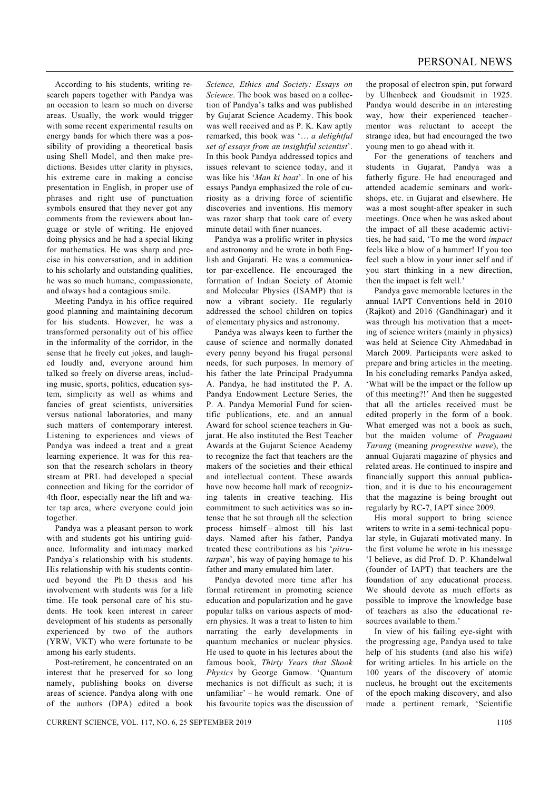According to his students, writing research papers together with Pandya was an occasion to learn so much on diverse areas. Usually, the work would trigger with some recent experimental results on energy bands for which there was a possibility of providing a theoretical basis using Shell Model, and then make predictions. Besides utter clarity in physics, his extreme care in making a concise presentation in English, in proper use of phrases and right use of punctuation symbols ensured that they never got any comments from the reviewers about language or style of writing. He enjoyed doing physics and he had a special liking for mathematics. He was sharp and precise in his conversation, and in addition to his scholarly and outstanding qualities, he was so much humane, compassionate, and always had a contagious smile.

 Meeting Pandya in his office required good planning and maintaining decorum for his students. However, he was a transformed personality out of his office in the informality of the corridor, in the sense that he freely cut jokes, and laughed loudly and, everyone around him talked so freely on diverse areas, including music, sports, politics, education system, simplicity as well as whims and fancies of great scientists, universities versus national laboratories, and many such matters of contemporary interest. Listening to experiences and views of Pandya was indeed a treat and a great learning experience. It was for this reason that the research scholars in theory stream at PRL had developed a special connection and liking for the corridor of 4th floor, especially near the lift and water tap area, where everyone could join together.

 Pandya was a pleasant person to work with and students got his untiring guidance. Informality and intimacy marked Pandya's relationship with his students. His relationship with his students continued beyond the Ph D thesis and his involvement with students was for a life time. He took personal care of his students. He took keen interest in career development of his students as personally experienced by two of the authors (YRW, VKT) who were fortunate to be among his early students.

 Post-retirement, he concentrated on an interest that he preserved for so long namely, publishing books on diverse areas of science. Pandya along with one of the authors (DPA) edited a book *Science, Ethics and Society: Essays on Science*. The book was based on a collection of Pandya's talks and was published by Gujarat Science Academy. This book was well received and as P. K. Kaw aptly remarked, this book was '… *a delightful set of essays from an insightful scientist*'. In this book Pandya addressed topics and issues relevant to science today, and it was like his '*Man ki baat*'*.* In one of his essays Pandya emphasized the role of curiosity as a driving force of scientific discoveries and inventions. His memory was razor sharp that took care of every minute detail with finer nuances.

 Pandya was a prolific writer in physics and astronomy and he wrote in both English and Gujarati. He was a communicator par-excellence. He encouraged the formation of Indian Society of Atomic and Molecular Physics (ISAMP) that is now a vibrant society. He regularly addressed the school children on topics of elementary physics and astronomy.

 Pandya was always keen to further the cause of science and normally donated every penny beyond his frugal personal needs, for such purposes. In memory of his father the late Principal Pradyumna A. Pandya, he had instituted the P. A. Pandya Endowment Lecture Series, the P. A. Pandya Memorial Fund for scientific publications, etc. and an annual Award for school science teachers in Gujarat. He also instituted the Best Teacher Awards at the Gujarat Science Academy to recognize the fact that teachers are the makers of the societies and their ethical and intellectual content. These awards have now become hall mark of recognizing talents in creative teaching. His commitment to such activities was so intense that he sat through all the selection process himself – almost till his last days. Named after his father, Pandya treated these contributions as his '*pitrutarpan*', his way of paying homage to his father and many emulated him later.

 Pandya devoted more time after his formal retirement in promoting science education and popularization and he gave popular talks on various aspects of modern physics. It was a treat to listen to him narrating the early developments in quantum mechanics or nuclear physics. He used to quote in his lectures about the famous book, *Thirty Years that Shook Physics* by George Gamow. 'Quantum mechanics is not difficult as such; it is unfamiliar' – he would remark. One of his favourite topics was the discussion of the proposal of electron spin, put forward by Ulhenbeck and Goudsmit in 1925. Pandya would describe in an interesting way, how their experienced teacher– mentor was reluctant to accept the strange idea, but had encouraged the two young men to go ahead with it.

 For the generations of teachers and students in Gujarat, Pandya was a fatherly figure. He had encouraged and attended academic seminars and workshops, etc. in Gujarat and elsewhere. He was a most sought-after speaker in such meetings. Once when he was asked about the impact of all these academic activities, he had said, 'To me the word *impact* feels like a blow of a hammer! If you too feel such a blow in your inner self and if you start thinking in a new direction, then the impact is felt well.'

 Pandya gave memorable lectures in the annual IAPT Conventions held in 2010 (Rajkot) and 2016 (Gandhinagar) and it was through his motivation that a meeting of science writers (mainly in physics) was held at Science City Ahmedabad in March 2009. Participants were asked to prepare and bring articles in the meeting. In his concluding remarks Pandya asked, 'What will be the impact or the follow up of this meeting?!' And then he suggested that all the articles received must be edited properly in the form of a book. What emerged was not a book as such, but the maiden volume of *Pragaami Tarang* (meaning *progressive wave*), the annual Gujarati magazine of physics and related areas. He continued to inspire and financially support this annual publication, and it is due to his encouragement that the magazine is being brought out regularly by RC-7, IAPT since 2009.

 His moral support to bring science writers to write in a semi-technical popular style, in Gujarati motivated many. In the first volume he wrote in his message 'I believe, as did Prof. D. P. Khandelwal (founder of IAPT) that teachers are the foundation of any educational process. We should devote as much efforts as possible to improve the knowledge base of teachers as also the educational resources available to them.'

 In view of his failing eye-sight with the progressing age, Pandya used to take help of his students (and also his wife) for writing articles. In his article on the 100 years of the discovery of atomic nucleus, he brought out the excitements of the epoch making discovery, and also made a pertinent remark, 'Scientific